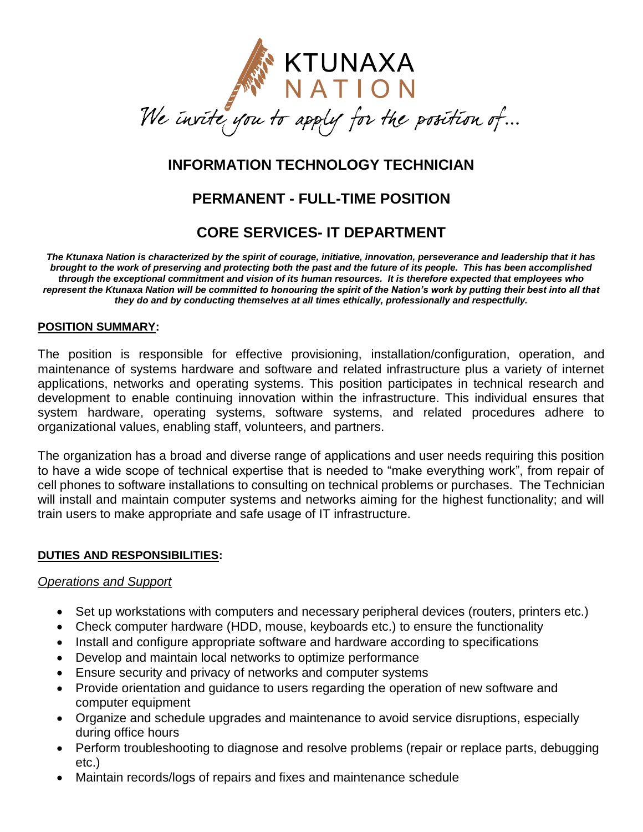

# **INFORMATION TECHNOLOGY TECHNICIAN**

# **PERMANENT - FULL-TIME POSITION**

## **CORE SERVICES- IT DEPARTMENT**

*The Ktunaxa Nation is characterized by the spirit of courage, initiative, innovation, perseverance and leadership that it has brought to the work of preserving and protecting both the past and the future of its people. This has been accomplished through the exceptional commitment and vision of its human resources. It is therefore expected that employees who represent the Ktunaxa Nation will be committed to honouring the spirit of the Nation's work by putting their best into all that they do and by conducting themselves at all times ethically, professionally and respectfully.*

#### **POSITION SUMMARY:**

The position is responsible for effective provisioning, installation/configuration, operation, and maintenance of systems hardware and software and related infrastructure plus a variety of internet applications, networks and operating systems. This position participates in technical research and development to enable continuing innovation within the infrastructure. This individual ensures that system hardware, operating systems, software systems, and related procedures adhere to organizational values, enabling staff, volunteers, and partners.

The organization has a broad and diverse range of applications and user needs requiring this position to have a wide scope of technical expertise that is needed to "make everything work", from repair of cell phones to software installations to consulting on technical problems or purchases. The Technician will install and maintain computer systems and networks aiming for the highest functionality; and will train users to make appropriate and safe usage of IT infrastructure.

#### **DUTIES AND RESPONSIBILITIES:**

#### *Operations and Support*

- Set up workstations with computers and necessary peripheral devices (routers, printers etc.)
- Check computer hardware (HDD, mouse, keyboards etc.) to ensure the functionality
- Install and configure appropriate software and hardware according to specifications
- Develop and maintain local networks to optimize performance
- Ensure security and privacy of networks and computer systems
- Provide orientation and quidance to users regarding the operation of new software and computer equipment
- Organize and schedule upgrades and maintenance to avoid service disruptions, especially during office hours
- Perform troubleshooting to diagnose and resolve problems (repair or replace parts, debugging etc.)
- Maintain records/logs of repairs and fixes and maintenance schedule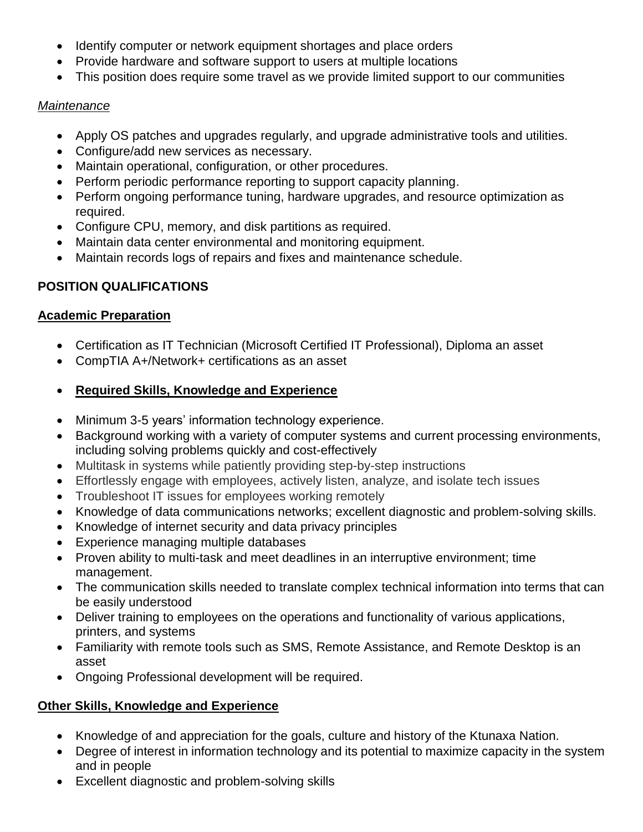- Identify computer or network equipment shortages and place orders
- Provide hardware and software support to users at multiple locations
- This position does require some travel as we provide limited support to our communities

### *Maintenance*

- Apply OS patches and upgrades regularly, and upgrade administrative tools and utilities.
- Configure/add new services as necessary.
- Maintain operational, configuration, or other procedures.
- Perform periodic performance reporting to support capacity planning.
- Perform ongoing performance tuning, hardware upgrades, and resource optimization as required.
- Configure CPU, memory, and disk partitions as required.
- Maintain data center environmental and monitoring equipment.
- Maintain records logs of repairs and fixes and maintenance schedule.

## **POSITION QUALIFICATIONS**

### **Academic Preparation**

- Certification as IT Technician (Microsoft Certified IT Professional), Diploma an asset
- CompTIA A+/Network+ certifications as an asset
- **Required Skills, Knowledge and Experience**
- Minimum 3-5 years' information technology experience.
- Background working with a variety of computer systems and current processing environments, including solving problems quickly and cost-effectively
- Multitask in systems while patiently providing step-by-step instructions
- Effortlessly engage with employees, actively listen, analyze, and isolate tech issues
- Troubleshoot IT issues for employees working remotely
- Knowledge of data communications networks; excellent diagnostic and problem-solving skills.
- Knowledge of internet security and data privacy principles
- Experience managing multiple databases
- Proven ability to multi-task and meet deadlines in an interruptive environment; time management.
- The communication skills needed to translate complex technical information into terms that can be easily understood
- Deliver training to employees on the operations and functionality of various applications, printers, and systems
- Familiarity with remote tools such as SMS, Remote Assistance, and Remote Desktop is an asset
- Ongoing Professional development will be required.

## **Other Skills, Knowledge and Experience**

- Knowledge of and appreciation for the goals, culture and history of the Ktunaxa Nation.
- Degree of interest in information technology and its potential to maximize capacity in the system and in people
- Excellent diagnostic and problem-solving skills